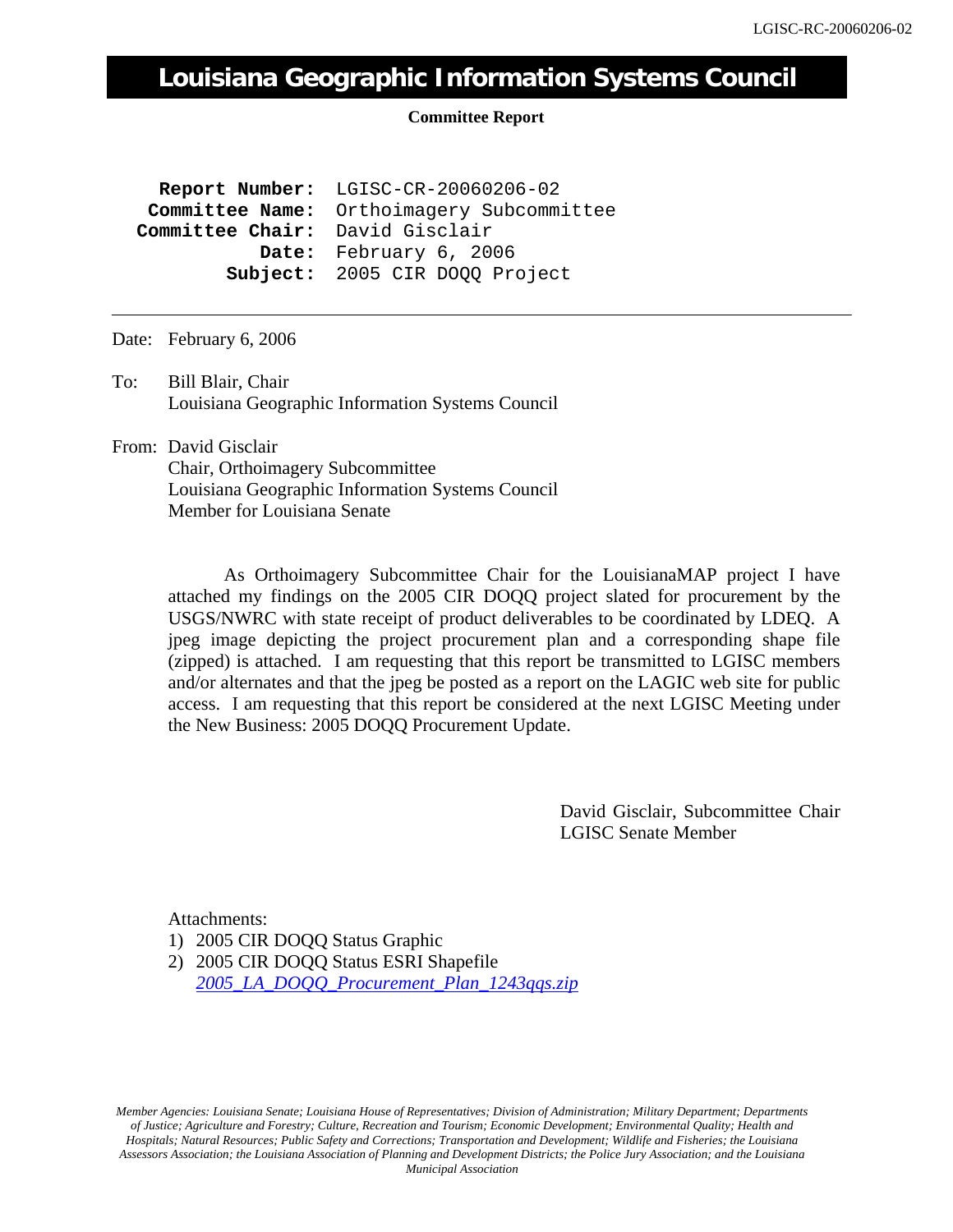## **Louisiana Geographic Information Systems Council**

## **Committee Report**

 **Report Number:** LGISC-CR-20060206-02  **Committee Name:** Orthoimagery Subcommittee  **Committee Chair:** David Gisclair  **Date:** February 6, 2006  **Subject:** 2005 CIR DOQQ Project

Date: February 6, 2006

To: Bill Blair, Chair Louisiana Geographic Information Systems Council

From: David Gisclair Chair, Orthoimagery Subcommittee Louisiana Geographic Information Systems Council Member for Louisiana Senate

> As Orthoimagery Subcommittee Chair for the LouisianaMAP project I have attached my findings on the 2005 CIR DOQQ project slated for procurement by the USGS/NWRC with state receipt of product deliverables to be coordinated by LDEQ. A jpeg image depicting the project procurement plan and a corresponding shape file (zipped) is attached. I am requesting that this report be transmitted to LGISC members and/or alternates and that the jpeg be posted as a report on the LAGIC web site for public access. I am requesting that this report be considered at the next LGISC Meeting under the New Business: 2005 DOQQ Procurement Update.

> > David Gisclair, Subcommittee Chair LGISC Senate Member

Attachments:

1) 2005 CIR DOQQ Status Graphic

2) 2005 CIR DOQQ Status ESRI Shapefile *[2005\\_LA\\_DOQQ\\_Procurement\\_Plan\\_1243qqs.zip](http://lagic.lsu.edu/lgisc/committee%20reports/2006/2005_LA_DOQQ_Procurement_Plan_1243qqs.zip)*

*Member Agencies: Louisiana Senate; Louisiana House of Representatives; Division of Administration; Military Department; Departments of Justice; Agriculture and Forestry; Culture, Recreation and Tourism; Economic Development; Environmental Quality; Health and Hospitals; Natural Resources; Public Safety and Corrections; Transportation and Development; Wildlife and Fisheries; the Louisiana Assessors Association; the Louisiana Association of Planning and Development Districts; the Police Jury Association; and the Louisiana Municipal Association*